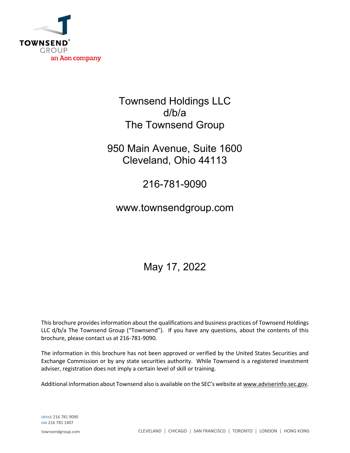

## Townsend Holdings LLC d/b/a The Townsend Group

## 950 Main Avenue, Suite 1600 Cleveland, Ohio 44113

## 216-781-9090

## www.townsendgroup.com

# May 17, 2022

This brochure provides information about the qualifications and business practices of Townsend Holdings LLC d/b/a The Townsend Group ("Townsend"). If you have any questions, about the contents of this brochure, please contact us at 216-781-9090.

The information in this brochure has not been approved or verified by the United States Securities and Exchange Commission or by any state securities authority. While Townsend is a registered investment adviser, registration does not imply a certain level of skill or training.

Additional information about Townsend also is available on the SEC's website at www.adviserinfo.sec.gov.

OFFICE 216 781 9090 FAX 216 781 1407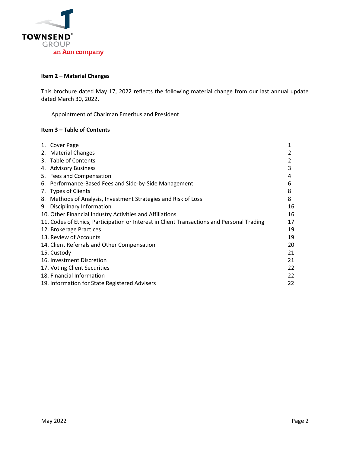

#### **Item 2 – Material Changes**

This brochure dated May 17, 2022 reflects the following material change from our last annual update dated March 30, 2022.

Appointment of Chariman Emeritus and President

#### **Item 3 – Table of Contents**

|    | 1. Cover Page                                                                              | 1  |
|----|--------------------------------------------------------------------------------------------|----|
|    | 2. Material Changes                                                                        |    |
|    | 3. Table of Contents                                                                       |    |
|    | 4. Advisory Business                                                                       | 3  |
|    | 5. Fees and Compensation                                                                   | 4  |
|    | 6. Performance-Based Fees and Side-by-Side Management                                      | 6  |
|    | 7. Types of Clients                                                                        | 8  |
| 8. | Methods of Analysis, Investment Strategies and Risk of Loss                                | 8  |
| 9. | Disciplinary Information                                                                   | 16 |
|    | 10. Other Financial Industry Activities and Affiliations                                   | 16 |
|    | 11. Codes of Ethics, Participation or Interest in Client Transactions and Personal Trading | 17 |
|    | 12. Brokerage Practices                                                                    | 19 |
|    | 13. Review of Accounts                                                                     | 19 |
|    | 14. Client Referrals and Other Compensation                                                | 20 |
|    | 15. Custody                                                                                | 21 |
|    | 16. Investment Discretion                                                                  | 21 |
|    | 17. Voting Client Securities                                                               | 22 |
|    | 18. Financial Information                                                                  | 22 |
|    | 19. Information for State Registered Advisers                                              | 22 |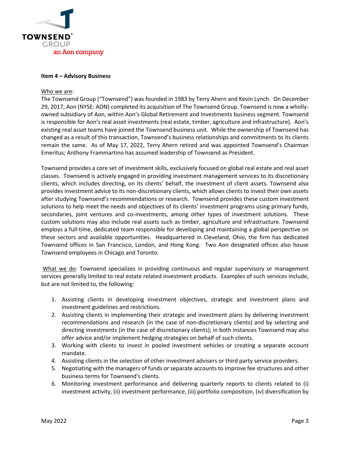

#### **Item 4 – Advisory Business**

#### Who we are:

The Townsend Group ("Townsend") was founded in 1983 by Terry Ahern and Kevin Lynch. On December 29, 2017, Aon (NYSE: AON) completed its acquisition of The Townsend Group. Townsend is now a whollyowned subsidiary of Aon, within Aon's Global Retirement and Investments business segment. Townsend is responsible for Aon's real asset investments (real estate, timber, agriculture and infrastructure). Aon's existing real asset teams have joined the Townsend business unit. While the ownership of Townsend has changed as a result of this transaction, Townsend's business relationships and commitments to its clients remain the same. As of May 17, 2022, Terry Ahern retired and was appointed Townsend's Chairman Emeritus; Anthony Frammartino has assumed leadership of Townsend as President.

Townsend provides a core set of investment skills, exclusively focused on global real estate and real asset classes. Townsend is actively engaged in providing investment management services to its discretionary clients, which includes directing, on its clients' behalf, the investment of client assets. Townsend also provides investment advice to its non-discretionary clients, which allows clients to invest their own assets after studying Townsend's recommendations or research. Townsend provides these custom investment solutions to help meet the needs and objectives of its clients' investment programs using primary funds, secondaries, joint ventures and co-investments, among other types of investment solutions. These custom solutions may also include real assets such as timber, agriculture and infrastructure. Townsend employs a full-time, dedicated team responsible for developing and maintaining a global perspective on these sectors and available opportunities. Headquartered in Cleveland, Ohio, the firm has dedicated Townsend offices in San Francisco, London, and Hong Kong. Two Aon designated offices also house Townsend employees in Chicago and Toronto.

What we do: Townsend specializes in providing continuous and regular supervisory or management services generally limited to real estate related investment products. Examples of such services include, but are not limited to, the following:

- 1. Assisting clients in developing investment objectives, strategic and investment plans and investment guidelines and restrictions.
- 2. Assisting clients in implementing their strategic and investment plans by delivering investment recommendations and research (in the case of non-discretionary clients) and by selecting and directing investments (in the case of discretionary clients); in both instances Townsend may also offer advice and/or implement hedging strategies on behalf of such clients.
- 3. Working with clients to invest in pooled investment vehicles or creating a separate account mandate.
- 4. Assisting clients in the selection of other investment advisers or third party service providers.
- 5. Negotiating with the managers of funds or separate accounts to improve fee structures and other business terms for Townsend's clients.
- 6. Monitoring investment performance and delivering quarterly reports to clients related to (i) investment activity, (ii) investment performance, (iii) portfolio composition, (iv) diversification by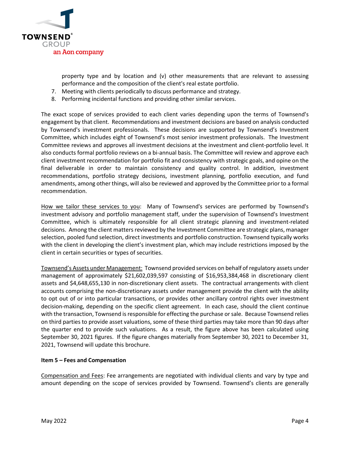

property type and by location and (v) other measurements that are relevant to assessing performance and the composition of the client's real estate portfolio.

- 7. Meeting with clients periodically to discuss performance and strategy.
- 8. Performing incidental functions and providing other similar services.

The exact scope of services provided to each client varies depending upon the terms of Townsend's engagement by that client. Recommendations and investment decisions are based on analysis conducted by Townsend's investment professionals. These decisions are supported by Townsend's Investment Committee, which includes eight of Townsend's most senior investment professionals. The Investment Committee reviews and approves all investment decisions at the investment and client-portfolio level. It also conducts formal portfolio reviews on a bi-annual basis. The Committee will review and approve each client investment recommendation for portfolio fit and consistency with strategic goals, and opine on the final deliverable in order to maintain consistency and quality control. In addition, investment recommendations, portfolio strategy decisions, investment planning, portfolio execution, and fund amendments, among other things, will also be reviewed and approved by the Committee prior to a formal recommendation.

How we tailor these services to you: Many of Townsend's services are performed by Townsend's investment advisory and portfolio management staff, under the supervision of Townsend's Investment Committee, which is ultimately responsible for all client strategic planning and investment-related decisions. Among the client matters reviewed by the Investment Committee are strategic plans, manager selection, pooled fund selection, direct investments and portfolio construction. Townsend typically works with the client in developing the client's investment plan, which may include restrictions imposed by the client in certain securities or types of securities.

Townsend's Assets under Management: Townsend provided services on behalf of regulatory assets under management of approximately \$21,602,039,597 consisting of \$16,953,384,468 in discretionary client assets and \$4,648,655,130 in non-discretionary client assets. The contractual arrangements with client accounts comprising the non-discretionary assets under management provide the client with the ability to opt out of or into particular transactions, or provides other ancillary control rights over investment decision-making, depending on the specific client agreement. In each case, should the client continue with the transaction, Townsend is responsible for effecting the purchase or sale. Because Townsend relies on third parties to provide asset valuations, some of these third parties may take more than 90 days after the quarter end to provide such valuations. As a result, the figure above has been calculated using September 30, 2021 figures. If the figure changes materially from September 30, 2021 to December 31, 2021, Townsend will update this brochure.

## **Item 5 – Fees and Compensation**

Compensation and Fees: Fee arrangements are negotiated with individual clients and vary by type and amount depending on the scope of services provided by Townsend. Townsend's clients are generally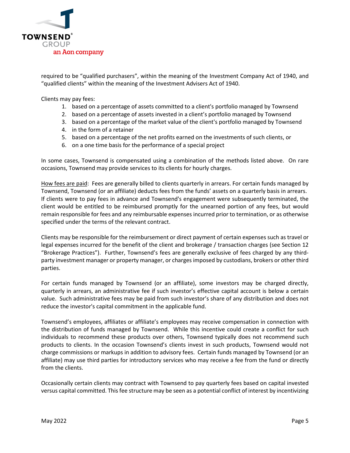

required to be "qualified purchasers", within the meaning of the Investment Company Act of 1940, and "qualified clients" within the meaning of the Investment Advisers Act of 1940.

Clients may pay fees:

- 1. based on a percentage of assets committed to a client's portfolio managed by Townsend
- 2. based on a percentage of assets invested in a client's portfolio managed by Townsend
- 3. based on a percentage of the market value of the client's portfolio managed by Townsend
- 4. in the form of a retainer
- 5. based on a percentage of the net profits earned on the investments of such clients, or
- 6. on a one time basis for the performance of a special project

In some cases, Townsend is compensated using a combination of the methods listed above. On rare occasions, Townsend may provide services to its clients for hourly charges.

How fees are paid: Fees are generally billed to clients quarterly in arrears. For certain funds managed by Townsend, Townsend (or an affiliate) deducts fees from the funds' assets on a quarterly basis in arrears. If clients were to pay fees in advance and Townsend's engagement were subsequently terminated, the client would be entitled to be reimbursed promptly for the unearned portion of any fees, but would remain responsible for fees and any reimbursable expenses incurred prior to termination, or as otherwise specified under the terms of the relevant contract.

Clients may be responsible for the reimbursement or direct payment of certain expenses such as travel or legal expenses incurred for the benefit of the client and brokerage / transaction charges (see Section 12 "Brokerage Practices"). Further, Townsend's fees are generally exclusive of fees charged by any thirdparty investment manager or property manager, or charges imposed by custodians, brokers or other third parties.

For certain funds managed by Townsend (or an affiliate), some investors may be charged directly, quarterly in arrears, an administrative fee if such investor's effective capital account is below a certain value. Such administrative fees may be paid from such investor's share of any distribution and does not reduce the investor's capital commitment in the applicable fund.

Townsend's employees, affiliates or affiliate's employees may receive compensation in connection with the distribution of funds managed by Townsend. While this incentive could create a conflict for such individuals to recommend these products over others, Townsend typically does not recommend such products to clients. In the occasion Townsend's clients invest in such products, Townsend would not charge commissions or markups in addition to advisory fees. Certain funds managed by Townsend (or an affiliate) may use third parties for introductory services who may receive a fee from the fund or directly from the clients.

Occasionally certain clients may contract with Townsend to pay quarterly fees based on capital invested versus capital committed. This fee structure may be seen as a potential conflict of interest by incentivizing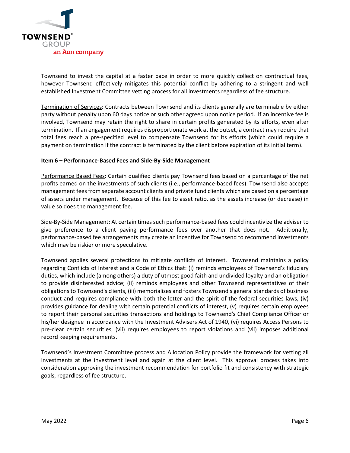

Townsend to invest the capital at a faster pace in order to more quickly collect on contractual fees, however Townsend effectively mitigates this potential conflict by adhering to a stringent and well established Investment Committee vetting process for all investments regardless of fee structure.

Termination of Services: Contracts between Townsend and its clients generally are terminable by either party without penalty upon 60 days notice or such other agreed upon notice period. If an incentive fee is involved, Townsend may retain the right to share in certain profits generated by its efforts, even after termination. If an engagement requires disproportionate work at the outset, a contract may require that total fees reach a pre-specified level to compensate Townsend for its efforts (which could require a payment on termination if the contract is terminated by the client before expiration of its initial term).

## **Item 6 – Performance-Based Fees and Side-By-Side Management**

Performance Based Fees: Certain qualified clients pay Townsend fees based on a percentage of the net profits earned on the investments of such clients (i.e., performance-based fees). Townsend also accepts management fees from separate account clients and private fund clients which are based on a percentage of assets under management. Because of this fee to asset ratio, as the assets increase (or decrease) in value so does the management fee.

Side-By-Side Management: At certain times such performance-based fees could incentivize the adviser to give preference to a client paying performance fees over another that does not. Additionally, performance-based fee arrangements may create an incentive for Townsend to recommend investments which may be riskier or more speculative.

Townsend applies several protections to mitigate conflicts of interest. Townsend maintains a policy regarding Conflicts of Interest and a Code of Ethics that: (i) reminds employees of Townsend's fiduciary duties, which include (among others) a duty of utmost good faith and undivided loyalty and an obligation to provide disinterested advice; (ii) reminds employees and other Townsend representatives of their obligations to Townsend's clients, (iii) memorializes and fosters Townsend's general standards of business conduct and requires compliance with both the letter and the spirit of the federal securities laws, (iv) provides guidance for dealing with certain potential conflicts of interest, (v) requires certain employees to report their personal securities transactions and holdings to Townsend's Chief Compliance Officer or his/her designee in accordance with the Investment Advisers Act of 1940, (vi) requires Access Persons to pre-clear certain securities, (vii) requires employees to report violations and (vii) imposes additional record keeping requirements.

Townsend's Investment Committee process and Allocation Policy provide the framework for vetting all investments at the investment level and again at the client level. This approval process takes into consideration approving the investment recommendation for portfolio fit and consistency with strategic goals, regardless of fee structure.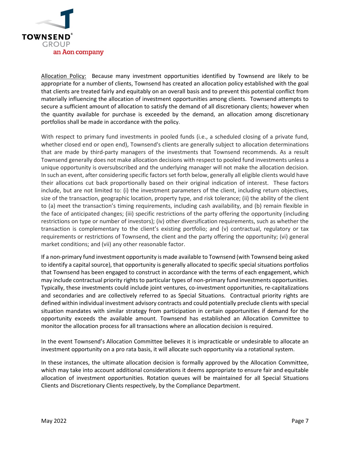

Allocation Policy:Because many investment opportunities identified by Townsend are likely to be appropriate for a number of clients, Townsend has created an allocation policy established with the goal that clients are treated fairly and equitably on an overall basis and to prevent this potential conflict from materially influencing the allocation of investment opportunities among clients. Townsend attempts to secure a sufficient amount of allocation to satisfy the demand of all discretionary clients; however when the quantity available for purchase is exceeded by the demand, an allocation among discretionary portfolios shall be made in accordance with the policy.

With respect to primary fund investments in pooled funds (i.e., a scheduled closing of a private fund, whether closed end or open end), Townsend's clients are generally subject to allocation determinations that are made by third-party managers of the investments that Townsend recommends. As a result Townsend generally does not make allocation decisions with respect to pooled fund investments unless a unique opportunity is oversubscribed and the underlying manager will not make the allocation decision. In such an event, after considering specific factors set forth below, generally all eligible clients would have their allocations cut back proportionally based on their original indication of interest. These factors include, but are not limited to: (i) the investment parameters of the client, including return objectives, size of the transaction, geographic location, property type, and risk tolerance; (ii) the ability of the client to (a) meet the transaction's timing requirements, including cash availability, and (b) remain flexible in the face of anticipated changes; (iii) specific restrictions of the party offering the opportunity (including restrictions on type or number of investors); (iv) other diversification requirements, such as whether the transaction is complementary to the client's existing portfolio; and (v) contractual, regulatory or tax requirements or restrictions of Townsend, the client and the party offering the opportunity; (vi) general market conditions; and (vii) any other reasonable factor.

If a non-primary fund investment opportunity is made available to Townsend (with Townsend being asked to identify a capital source), that opportunity is generally allocated to specific special situations portfolios that Townsend has been engaged to construct in accordance with the terms of each engagement, which may include contractual priority rights to particular types of non-primary fund investments opportunities. Typically, these investments could include joint ventures, co-investment opportunities, re-capitalizations and secondaries and are collectively referred to as Special Situations. Contractual priority rights are defined within individual investment advisory contracts and could potentially preclude clients with special situation mandates with similar strategy from participation in certain opportunities if demand for the opportunity exceeds the available amount. Townsend has established an Allocation Committee to monitor the allocation process for all transactions where an allocation decision is required.

In the event Townsend's Allocation Committee believes it is impracticable or undesirable to allocate an investment opportunity on a pro rata basis, it will allocate such opportunity via a rotational system.

In these instances, the ultimate allocation decision is formally approved by the Allocation Committee, which may take into account additional considerations it deems appropriate to ensure fair and equitable allocation of investment opportunities. Rotation queues will be maintained for all Special Situations Clients and Discretionary Clients respectively, by the Compliance Department.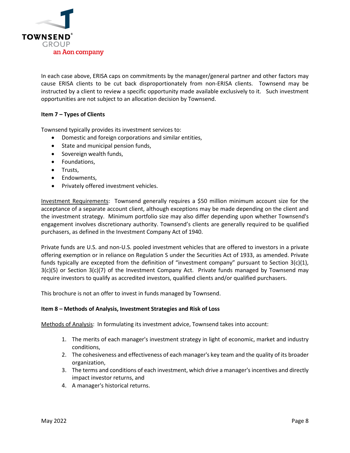

In each case above, ERISA caps on commitments by the manager/general partner and other factors may cause ERISA clients to be cut back disproportionately from non-ERISA clients. Townsend may be instructed by a client to review a specific opportunity made available exclusively to it. Such investment opportunities are not subject to an allocation decision by Townsend.

## **Item 7 – Types of Clients**

Townsend typically provides its investment services to:

- Domestic and foreign corporations and similar entities,
- State and municipal pension funds,
- Sovereign wealth funds,
- Foundations,
- Trusts,
- Endowments,
- Privately offered investment vehicles.

Investment Requirements: Townsend generally requires a \$50 million minimum account size for the acceptance of a separate account client, although exceptions may be made depending on the client and the investment strategy. Minimum portfolio size may also differ depending upon whether Townsend's engagement involves discretionary authority. Townsend's clients are generally required to be qualified purchasers, as defined in the Investment Company Act of 1940.

Private funds are U.S. and non-U.S. pooled investment vehicles that are offered to investors in a private offering exemption or in reliance on Regulation S under the Securities Act of 1933, as amended. Private funds typically are excepted from the definition of "investment company" pursuant to Section  $3(c)(1)$ ,  $3(c)(5)$  or Section  $3(c)(7)$  of the Investment Company Act. Private funds managed by Townsend may require investors to qualify as accredited investors, qualified clients and/or qualified purchasers.

This brochure is not an offer to invest in funds managed by Townsend.

#### **Item 8 – Methods of Analysis, Investment Strategies and Risk of Loss**

Methods of Analysis: In formulating its investment advice, Townsend takes into account:

- 1. The merits of each manager's investment strategy in light of economic, market and industry conditions,
- 2. The cohesiveness and effectiveness of each manager's key team and the quality of its broader organization,
- 3. The terms and conditions of each investment, which drive a manager's incentives and directly impact investor returns, and
- 4. A manager's historical returns.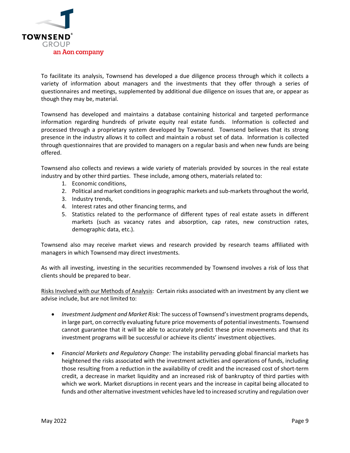

To facilitate its analysis, Townsend has developed a due diligence process through which it collects a variety of information about managers and the investments that they offer through a series of questionnaires and meetings, supplemented by additional due diligence on issues that are, or appear as though they may be, material.

Townsend has developed and maintains a database containing historical and targeted performance information regarding hundreds of private equity real estate funds. Information is collected and processed through a proprietary system developed by Townsend. Townsend believes that its strong presence in the industry allows it to collect and maintain a robust set of data. Information is collected through questionnaires that are provided to managers on a regular basis and when new funds are being offered.

Townsend also collects and reviews a wide variety of materials provided by sources in the real estate industry and by other third parties. These include, among others, materials related to:

- 1. Economic conditions,
- 2. Political and market conditions in geographic markets and sub-markets throughout the world,
- 3. Industry trends,
- 4. Interest rates and other financing terms, and
- 5. Statistics related to the performance of different types of real estate assets in different markets (such as vacancy rates and absorption, cap rates, new construction rates, demographic data, etc.).

Townsend also may receive market views and research provided by research teams affiliated with managers in which Townsend may direct investments.

As with all investing, investing in the securities recommended by Townsend involves a risk of loss that clients should be prepared to bear.

Risks Involved with our Methods of Analysis: Certain risks associated with an investment by any client we advise include, but are not limited to:

- *Investment Judgment and Market Risk:* The success of Townsend's investment programs depends, in large part, on correctly evaluating future price movements of potential investments. Townsend cannot guarantee that it will be able to accurately predict these price movements and that its investment programs will be successful or achieve its clients' investment objectives.
- *Financial Markets and Regulatory Change:* The instability pervading global financial markets has heightened the risks associated with the investment activities and operations of funds, including those resulting from a reduction in the availability of credit and the increased cost of short-term credit, a decrease in market liquidity and an increased risk of bankruptcy of third parties with which we work. Market disruptions in recent years and the increase in capital being allocated to funds and other alternative investment vehicles have led to increased scrutiny and regulation over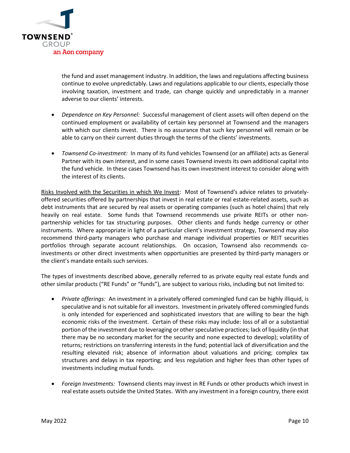

the fund and asset management industry. In addition, the laws and regulations affecting business continue to evolve unpredictably. Laws and regulations applicable to our clients, especially those involving taxation, investment and trade, can change quickly and unpredictably in a manner adverse to our clients' interests.

- *Dependence on Key Personnel:* Successful management of client assets will often depend on the continued employment or availability of certain key personnel at Townsend and the managers with which our clients invest. There is no assurance that such key personnel will remain or be able to carry on their current duties through the terms of the clients' investments.
- *Townsend Co-investment:* In many of its fund vehicles Townsend (or an affiliate) acts as General Partner with its own interest, and in some cases Townsend invests its own additional capital into the fund vehicle. In these cases Townsend has its own investment interest to consider along with the interest of its clients.

Risks Involved with the Securities in which We Invest: Most of Townsend's advice relates to privatelyoffered securities offered by partnerships that invest in real estate or real estate-related assets, such as debt instruments that are secured by real assets or operating companies (such as hotel chains) that rely heavily on real estate. Some funds that Townsend recommends use private REITs or other nonpartnership vehicles for tax structuring purposes. Other clients and funds hedge currency or other instruments. Where appropriate in light of a particular client's investment strategy, Townsend may also recommend third-party managers who purchase and manage individual properties or REIT securities portfolios through separate account relationships. On occasion, Townsend also recommends coinvestments or other direct investments when opportunities are presented by third-party managers or the client's mandate entails such services.

The types of investments described above, generally referred to as private equity real estate funds and other similar products ("RE Funds" or "funds"), are subject to various risks, including but not limited to:

- *Private offerings:* An investment in a privately offered commingled fund can be highly illiquid, is speculative and is not suitable for all investors. Investment in privately offered commingled funds is only intended for experienced and sophisticated investors that are willing to bear the high economic risks of the investment. Certain of these risks may include: loss of all or a substantial portion of the investment due to leveraging or other speculative practices; lack of liquidity (in that there may be no secondary market for the security and none expected to develop); volatility of returns; restrictions on transferring interests in the fund; potential lack of diversification and the resulting elevated risk; absence of information about valuations and pricing; complex tax structures and delays in tax reporting; and less regulation and higher fees than other types of investments including mutual funds.
- *Foreign Investments:* Townsend clients may invest in RE Funds or other products which invest in real estate assets outside the United States. With any investment in a foreign country, there exist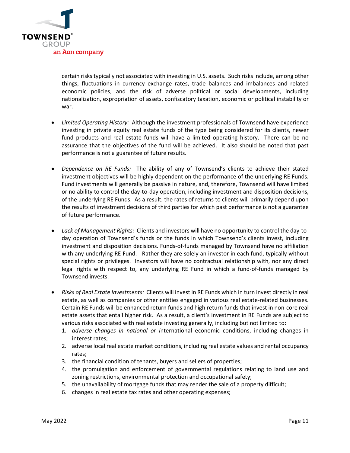

certain risks typically not associated with investing in U.S. assets. Such risks include, among other things, fluctuations in currency exchange rates, trade balances and imbalances and related economic policies, and the risk of adverse political or social developments, including nationalization, expropriation of assets, confiscatory taxation, economic or political instability or war.

- *Limited Operating History:*Although the investment professionals of Townsend have experience investing in private equity real estate funds of the type being considered for its clients, newer fund products and real estate funds will have a limited operating history. There can be no assurance that the objectives of the fund will be achieved. It also should be noted that past performance is not a guarantee of future results.
- *Dependence on RE Funds:* The ability of any of Townsend's clients to achieve their stated investment objectives will be highly dependent on the performance of the underlying RE Funds. Fund investments will generally be passive in nature, and, therefore, Townsend will have limited or no ability to control the day-to-day operation, including investment and disposition decisions, of the underlying RE Funds. As a result, the rates of returns to clients will primarily depend upon the results of investment decisions of third parties for which past performance is not a guarantee of future performance.
- *Lack of Management Rights:* Clients and investors will have no opportunity to control the day-today operation of Townsend's funds or the funds in which Townsend's clients invest, including investment and disposition decisions. Funds-of-funds managed by Townsend have no affiliation with any underlying RE Fund. Rather they are solely an investor in each fund, typically without special rights or privileges. Investors will have no contractual relationship with, nor any direct legal rights with respect to, any underlying RE Fund in which a fund-of-funds managed by Townsend invests.
- *Risks of Real Estate Investments:* Clients will invest in RE Funds which in turn invest directly in real estate, as well as companies or other entities engaged in various real estate-related businesses. Certain RE Funds will be enhanced return funds and high return funds that invest in non-core real estate assets that entail higher risk. As a result, a client's investment in RE Funds are subject to various risks associated with real estate investing generally, including but not limited to:
	- 1. *adverse changes in national or i*nternational economic conditions, including changes in interest rates;
	- 2. adverse local real estate market conditions, including real estate values and rental occupancy rates;
	- 3. the financial condition of tenants, buyers and sellers of properties;
	- 4. the promulgation and enforcement of governmental regulations relating to land use and zoning restrictions, environmental protection and occupational safety;
	- 5. the unavailability of mortgage funds that may render the sale of a property difficult;
	- 6. changes in real estate tax rates and other operating expenses;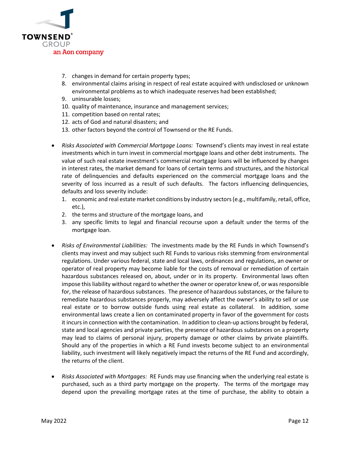

- 7. changes in demand for certain property types;
- 8. environmental claims arising in respect of real estate acquired with undisclosed or unknown environmental problems as to which inadequate reserves had been established;
- 9. uninsurable losses;
- 10. quality of maintenance, insurance and management services;
- 11. competition based on rental rates;
- 12. acts of God and natural disasters; and
- 13. other factors beyond the control of Townsend or the RE Funds.
- *Risks Associated with Commercial Mortgage Loans:*Townsend's clients may invest in real estate investments which in turn invest in commercial mortgage loans and other debt instruments. The value of such real estate investment's commercial mortgage loans will be influenced by changes in interest rates, the market demand for loans of certain terms and structures, and the historical rate of delinquencies and defaults experienced on the commercial mortgage loans and the severity of loss incurred as a result of such defaults. The factors influencing delinquencies, defaults and loss severity include:
	- 1. economic and real estate market conditions by industry sectors (e.g., multifamily, retail, office, etc.),
	- 2. the terms and structure of the mortgage loans, and
	- 3. any specific limits to legal and financial recourse upon a default under the terms of the mortgage loan.
- *Risks of Environmental Liabilities:* The investments made by the RE Funds in which Townsend's clients may invest and may subject such RE Funds to various risks stemming from environmental regulations. Under various federal, state and local laws, ordinances and regulations, an owner or operator of real property may become liable for the costs of removal or remediation of certain hazardous substances released on, about, under or in its property. Environmental laws often impose this liability without regard to whether the owner or operator knew of, or was responsible for, the release of hazardous substances. The presence of hazardous substances, or the failure to remediate hazardous substances properly, may adversely affect the owner's ability to sell or use real estate or to borrow outside funds using real estate as collateral. In addition, some environmental laws create a lien on contaminated property in favor of the government for costs it incurs in connection with the contamination. In addition to clean-up actions brought by federal, state and local agencies and private parties, the presence of hazardous substances on a property may lead to claims of personal injury, property damage or other claims by private plaintiffs. Should any of the properties in which a RE Fund invests become subject to an environmental liability, such investment will likely negatively impact the returns of the RE Fund and accordingly, the returns of the client.
- *Risks Associated with Mortgages:* RE Funds may use financing when the underlying real estate is purchased, such as a third party mortgage on the property. The terms of the mortgage may depend upon the prevailing mortgage rates at the time of purchase, the ability to obtain a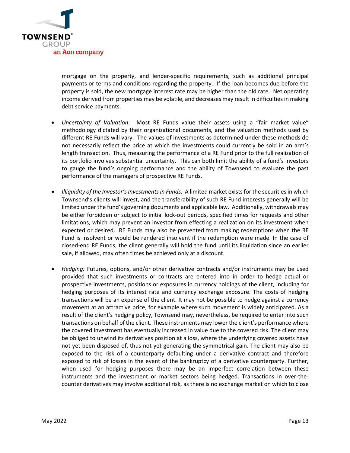

mortgage on the property, and lender-specific requirements, such as additional principal payments or terms and conditions regarding the property. If the loan becomes due before the property is sold, the new mortgage interest rate may be higher than the old rate. Net operating income derived from properties may be volatile, and decreases may result in difficulties in making debt service payments.

- *Uncertainty of Valuation:* Most RE Funds value their assets using a "fair market value" methodology dictated by their organizational documents, and the valuation methods used by different RE Funds will vary. The values of investments as determined under these methods do not necessarily reflect the price at which the investments could currently be sold in an arm's length transaction. Thus, measuring the performance of a RE Fund prior to the full realization of its portfolio involves substantial uncertainty. This can both limit the ability of a fund's investors to gauge the fund's ongoing performance and the ability of Townsend to evaluate the past performance of the managers of prospective RE Funds.
- *Illiquidity of the Investor's Investments in Funds:* A limited market exists for the securities in which Townsend's clients will invest, and the transferability of such RE Fund interests generally will be limited under the fund's governing documents and applicable law. Additionally, withdrawals may be either forbidden or subject to initial lock-out periods, specified times for requests and other limitations, which may prevent an investor from effecting a realization on its investment when expected or desired. RE Funds may also be prevented from making redemptions when the RE Fund is insolvent or would be rendered insolvent if the redemption were made. In the case of closed-end RE Funds, the client generally will hold the fund until its liquidation since an earlier sale, if allowed, may often times be achieved only at a discount.
- *Hedging:* Futures, options, and/or other derivative contracts and/or instruments may be used provided that such investments or contracts are entered into in order to hedge actual or prospective investments, positions or exposures in currency holdings of the client, including for hedging purposes of its interest rate and currency exchange exposure. The costs of hedging transactions will be an expense of the client. It may not be possible to hedge against a currency movement at an attractive price, for example where such movement is widely anticipated. As a result of the client's hedging policy, Townsend may, nevertheless, be required to enter into such transactions on behalf of the client. These instruments may lower the client's performance where the covered investment has eventually increased in value due to the covered risk. The client may be obliged to unwind its derivatives position at a loss, where the underlying covered assets have not yet been disposed of, thus not yet generating the symmetrical gain. The client may also be exposed to the risk of a counterparty defaulting under a derivative contract and therefore exposed to risk of losses in the event of the bankruptcy of a derivative counterparty. Further, when used for hedging purposes there may be an imperfect correlation between these instruments and the investment or market sectors being hedged. Transactions in over-thecounter derivatives may involve additional risk, as there is no exchange market on which to close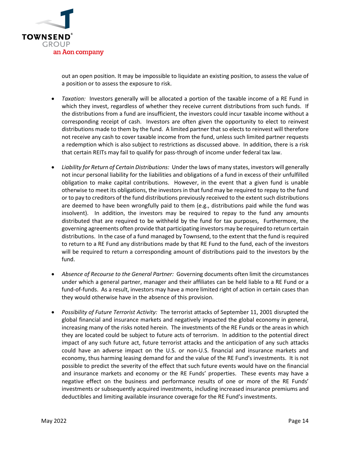

out an open position. It may be impossible to liquidate an existing position, to assess the value of a position or to assess the exposure to risk.

- *Taxation:* Investors generally will be allocated a portion of the taxable income of a RE Fund in which they invest, regardless of whether they receive current distributions from such funds. If the distributions from a fund are insufficient, the investors could incur taxable income without a corresponding receipt of cash. Investors are often given the opportunity to elect to reinvest distributions made to them by the fund. A limited partner that so elects to reinvest will therefore not receive any cash to cover taxable income from the fund, unless such limited partner requests a redemption which is also subject to restrictions as discussed above. In addition, there is a risk that certain REITs may fail to qualify for pass-through of income under federal tax law.
- *Liability for Return of Certain Distributions:* Under the laws of many states, investors will generally not incur personal liability for the liabilities and obligations of a fund in excess of their unfulfilled obligation to make capital contributions. However, in the event that a given fund is unable otherwise to meet its obligations, the investors in that fund may be required to repay to the fund or to pay to creditors of the fund distributions previously received to the extent such distributions are deemed to have been wrongfully paid to them (e.g., distributions paid while the fund was insolvent). In addition, the investors may be required to repay to the fund any amounts distributed that are required to be withheld by the fund for tax purposes, Furthermore, the governing agreements often provide that participating investors may be required to return certain distributions. In the case of a fund managed by Townsend, to the extent that the fund is required to return to a RE Fund any distributions made by that RE Fund to the fund, each of the investors will be required to return a corresponding amount of distributions paid to the investors by the fund.
- *Absence of Recourse to the General Partner:* Governing documents often limit the circumstances under which a general partner, manager and their affiliates can be held liable to a RE Fund or a fund-of-funds. As a result, investors may have a more limited right of action in certain cases than they would otherwise have in the absence of this provision.
- *Possibility of Future Terrorist Activity:* The terrorist attacks of September 11, 2001 disrupted the global financial and insurance markets and negatively impacted the global economy in general, increasing many of the risks noted herein. The investments of the RE Funds or the areas in which they are located could be subject to future acts of terrorism. In addition to the potential direct impact of any such future act, future terrorist attacks and the anticipation of any such attacks could have an adverse impact on the U.S. or non-U.S. financial and insurance markets and economy, thus harming leasing demand for and the value of the RE Fund's investments. It is not possible to predict the severity of the effect that such future events would have on the financial and insurance markets and economy or the RE Funds' properties. These events may have a negative effect on the business and performance results of one or more of the RE Funds' investments or subsequently acquired investments, including increased insurance premiums and deductibles and limiting available insurance coverage for the RE Fund's investments.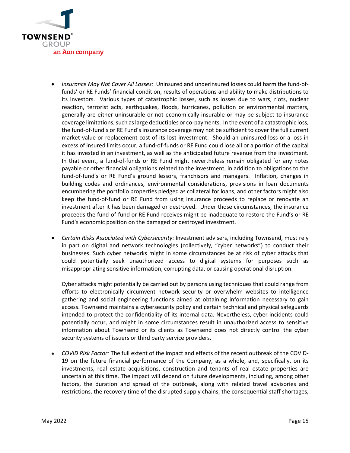

- *Insurance May Not Cover All Losses:* Uninsured and underinsured losses could harm the fund-offunds' or RE Funds' financial condition, results of operations and ability to make distributions to its investors. Various types of catastrophic losses, such as losses due to wars, riots, nuclear reaction, terrorist acts, earthquakes, floods, hurricanes, pollution or environmental matters, generally are either uninsurable or not economically insurable or may be subject to insurance coverage limitations, such as large deductibles or co-payments. In the event of a catastrophic loss, the fund-of-fund's or RE Fund's insurance coverage may not be sufficient to cover the full current market value or replacement cost of its lost investment. Should an uninsured loss or a loss in excess of insured limits occur, a fund-of-funds or RE Fund could lose all or a portion of the capital it has invested in an investment, as well as the anticipated future revenue from the investment. In that event, a fund-of-funds or RE Fund might nevertheless remain obligated for any notes payable or other financial obligations related to the investment, in addition to obligations to the fund-of-fund's or RE Fund's ground lessors, franchisors and managers. Inflation, changes in building codes and ordinances, environmental considerations, provisions in loan documents encumbering the portfolio properties pledged as collateral for loans, and other factors might also keep the fund-of-fund or RE Fund from using insurance proceeds to replace or renovate an investment after it has been damaged or destroyed. Under those circumstances, the insurance proceeds the fund-of-fund or RE Fund receives might be inadequate to restore the Fund's or RE Fund's economic position on the damaged or destroyed investment.
- *Certain Risks Associated with Cybersecurity*: Investment advisers, including Townsend, must rely in part on digital and network technologies (collectively, "cyber networks") to conduct their businesses. Such cyber networks might in some circumstances be at risk of cyber attacks that could potentially seek unauthorized access to digital systems for purposes such as misappropriating sensitive information, corrupting data, or causing operational disruption.

Cyber attacks might potentially be carried out by persons using techniques that could range from efforts to electronically circumvent network security or overwhelm websites to intelligence gathering and social engineering functions aimed at obtaining information necessary to gain access. Townsend maintains a cybersecurity policy and certain technical and physical safeguards intended to protect the confidentiality of its internal data. Nevertheless, cyber incidents could potentially occur, and might in some circumstances result in unauthorized access to sensitive information about Townsend or its clients as Townsend does not directly control the cyber security systems of issuers or third party service providers.

• *COVID Risk Factor:* The full extent of the impact and effects of the recent outbreak of the COVID-19 on the future financial performance of the Company, as a whole, and, specifically, on its investments, real estate acquisitions, construction and tenants of real estate properties are uncertain at this time. The impact will depend on future developments, including, among other factors, the duration and spread of the outbreak, along with related travel advisories and restrictions, the recovery time of the disrupted supply chains, the consequential staff shortages,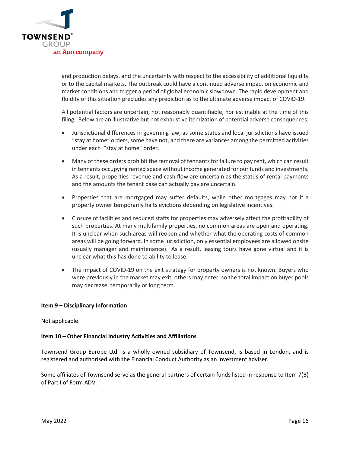

and production delays, and the uncertainty with respect to the accessibility of additional liquidity or to the capital markets. The outbreak could have a continued adverse impact on economic and market conditions and trigger a period of global economic slowdown. The rapid development and fluidity of this situation precludes any prediction as to the ultimate adverse impact of COVID-19.

All potential factors are uncertain, not reasonably quantifiable, nor estimable at the time of this filing. Below are an illustrative but not exhaustive itemization of potential adverse consequences:

- Jurisdictional differences in governing law, as some states and local jurisdictions have issued "stay at home" orders, some have not, and there are variances among the permitted activities under each "stay at home" order.
- Many of these orders prohibit the removal of tennants for failure to pay rent, which can result in tennants occupying rented space without income generated for our funds and investments. As a result, properties revenue and cash flow are uncertain as the status of rental payments and the amounts the tenant base can actually pay are uncertain.
- Properties that are mortgaged may suffer defaults, while other mortgages may not if a property owner temporarily halts evictions depending on legislative incentives.
- Closure of facilities and reduced staffs for properties may adversely affect the profitability of such properties. At many multifamily properties, no common areas are open and operating. It is unclear when such areas will reopen and whether what the operating costs of common areas will be going forward. In some jurisdiction, only essential employees are allowed onsite (usually manager and maintenance). As a result, leasing tours have gone virtual and it is unclear what this has done to ability to lease.
- The impact of COVID-19 on the exit strategy for property owners is not known. Buyers who were previously in the market may exit, others may enter, so the total impact on buyer pools may decrease, temporarily or long term.

## **Item 9 – Disciplinary Information**

Not applicable.

## **Item 10 – Other Financial Industry Activities and Affiliations**

Townsend Group Europe Ltd. is a wholly owned subsidiary of Townsend, is based in London, and is registered and authorised with the Financial Conduct Authority as an investment adviser.

Some affiliates of Townsend serve as the general partners of certain funds listed in response to Item 7(B) of Part I of Form ADV.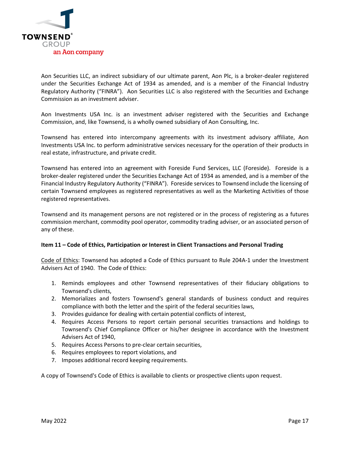

Aon Securities LLC, an indirect subsidiary of our ultimate parent, Aon Plc, is a broker-dealer registered under the Securities Exchange Act of 1934 as amended, and is a member of the Financial Industry Regulatory Authority ("FINRA"). Aon Securities LLC is also registered with the Securities and Exchange Commission as an investment adviser.

Aon Investments USA Inc. is an investment adviser registered with the Securities and Exchange Commission, and, like Townsend, is a wholly owned subsidiary of Aon Consulting, Inc.

Townsend has entered into intercompany agreements with its investment advisory affiliate, Aon Investments USA Inc. to perform administrative services necessary for the operation of their products in real estate, infrastructure, and private credit.

Townsend has entered into an agreement with Foreside Fund Services, LLC (Foreside). Foreside is a broker-dealer registered under the Securities Exchange Act of 1934 as amended, and is a member of the Financial Industry Regulatory Authority ("FINRA"). Foreside services to Townsend include the licensing of certain Townsend employees as registered representatives as well as the Marketing Activities of those registered representatives.

Townsend and its management persons are not registered or in the process of registering as a futures commission merchant, commodity pool operator, commodity trading adviser, or an associated person of any of these.

## **Item 11 – Code of Ethics, Participation or Interest in Client Transactions and Personal Trading**

Code of Ethics: Townsend has adopted a Code of Ethics pursuant to Rule 204A-1 under the Investment Advisers Act of 1940. The Code of Ethics:

- 1. Reminds employees and other Townsend representatives of their fiduciary obligations to Townsend's clients,
- 2. Memorializes and fosters Townsend's general standards of business conduct and requires compliance with both the letter and the spirit of the federal securities laws,
- 3. Provides guidance for dealing with certain potential conflicts of interest,
- 4. Requires Access Persons to report certain personal securities transactions and holdings to Townsend's Chief Compliance Officer or his/her designee in accordance with the Investment Advisers Act of 1940,
- 5. Requires Access Persons to pre-clear certain securities,
- 6. Requires employees to report violations, and
- 7. Imposes additional record keeping requirements.

A copy of Townsend's Code of Ethics is available to clients or prospective clients upon request.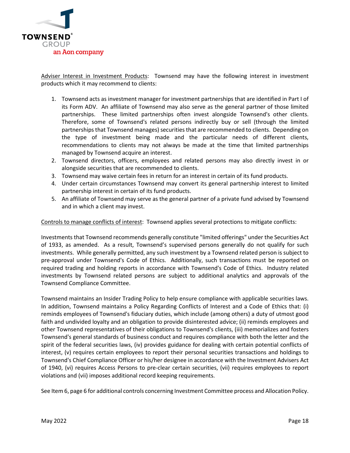

Adviser Interest in Investment Products: Townsend may have the following interest in investment products which it may recommend to clients:

- 1. Townsend acts as investment manager for investment partnerships that are identified in Part I of its Form ADV. An affiliate of Townsend may also serve as the general partner of those limited partnerships. These limited partnerships often invest alongside Townsend's other clients. Therefore, some of Townsend's related persons indirectly buy or sell (through the limited partnerships that Townsend manages) securities that are recommended to clients. Depending on the type of investment being made and the particular needs of different clients, recommendations to clients may not always be made at the time that limited partnerships managed by Townsend acquire an interest.
- 2. Townsend directors, officers, employees and related persons may also directly invest in or alongside securities that are recommended to clients.
- 3. Townsend may waive certain fees in return for an interest in certain of its fund products.
- 4. Under certain circumstances Townsend may convert its general partnership interest to limited partnership interest in certain of its fund products.
- 5. An affiliate of Townsend may serve as the general partner of a private fund advised by Townsend and in which a client may invest.

Controls to manage conflicts of interest: Townsend applies several protections to mitigate conflicts:

Investments that Townsend recommends generally constitute "limited offerings" under the Securities Act of 1933, as amended. As a result, Townsend's supervised persons generally do not qualify for such investments. While generally permitted, any such investment by a Townsend related person is subject to pre-approval under Townsend's Code of Ethics. Additionally, such transactions must be reported on required trading and holding reports in accordance with Townsend's Code of Ethics. Industry related investments by Townsend related persons are subject to additional analytics and approvals of the Townsend Compliance Committee.

Townsend maintains an Insider Trading Policy to help ensure compliance with applicable securities laws. In addition, Townsend maintains a Policy Regarding Conflicts of Interest and a Code of Ethics that: (i) reminds employees of Townsend's fiduciary duties, which include (among others) a duty of utmost good faith and undivided loyalty and an obligation to provide disinterested advice; (ii) reminds employees and other Townsend representatives of their obligations to Townsend's clients, (iii) memorializes and fosters Townsend's general standards of business conduct and requires compliance with both the letter and the spirit of the federal securities laws, (iv) provides guidance for dealing with certain potential conflicts of interest, (v) requires certain employees to report their personal securities transactions and holdings to Townsend's Chief Compliance Officer or his/her designee in accordance with the Investment Advisers Act of 1940, (vi) requires Access Persons to pre-clear certain securities, (vii) requires employees to report violations and (vii) imposes additional record keeping requirements.

See Item 6, page 6 for additional controls concerning Investment Committee process and Allocation Policy.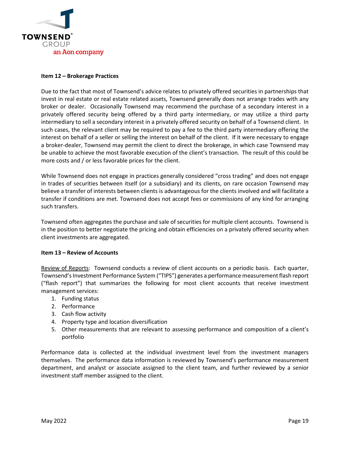

#### **Item 12 – Brokerage Practices**

Due to the fact that most of Townsend's advice relates to privately offered securities in partnerships that invest in real estate or real estate related assets, Townsend generally does not arrange trades with any broker or dealer. Occasionally Townsend may recommend the purchase of a secondary interest in a privately offered security being offered by a third party intermediary, or may utilize a third party intermediary to sell a secondary interest in a privately offered security on behalf of a Townsend client. In such cases, the relevant client may be required to pay a fee to the third party intermediary offering the interest on behalf of a seller or selling the interest on behalf of the client. If it were necessary to engage a broker-dealer, Townsend may permit the client to direct the brokerage, in which case Townsend may be unable to achieve the most favorable execution of the client's transaction. The result of this could be more costs and / or less favorable prices for the client.

While Townsend does not engage in practices generally considered "cross trading" and does not engage in trades of securities between itself (or a subsidiary) and its clients, on rare occasion Townsend may believe a transfer of interests between clients is advantageous for the clients involved and will facilitate a transfer if conditions are met. Townsend does not accept fees or commissions of any kind for arranging such transfers.

Townsend often aggregates the purchase and sale of securities for multiple client accounts. Townsend is in the position to better negotiate the pricing and obtain efficiencies on a privately offered security when client investments are aggregated.

## **Item 13 – Review of Accounts**

Review of Reports: Townsend conducts a review of client accounts on a periodic basis. Each quarter, Townsend's Investment Performance System ("TIPS") generates a performance measurement flash report ("flash report") that summarizes the following for most client accounts that receive investment management services:

- 1. Funding status
- 2. Performance
- 3. Cash flow activity
- 4. Property type and location diversification
- 5. Other measurements that are relevant to assessing performance and composition of a client's portfolio

Performance data is collected at the individual investment level from the investment managers themselves. The performance data information is reviewed by Townsend's performance measurement department, and analyst or associate assigned to the client team, and further reviewed by a senior investment staff member assigned to the client.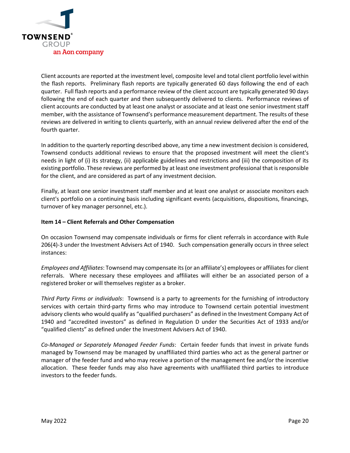

Client accounts are reported at the investment level, composite level and total client portfolio level within the flash reports. Preliminary flash reports are typically generated 60 days following the end of each quarter. Full flash reports and a performance review of the client account are typically generated 90 days following the end of each quarter and then subsequently delivered to clients. Performance reviews of client accounts are conducted by at least one analyst or associate and at least one senior investment staff member, with the assistance of Townsend's performance measurement department. The results of these reviews are delivered in writing to clients quarterly, with an annual review delivered after the end of the fourth quarter.

In addition to the quarterly reporting described above, any time a new investment decision is considered, Townsend conducts additional reviews to ensure that the proposed investment will meet the client's needs in light of (i) its strategy, (ii) applicable guidelines and restrictions and (iii) the composition of its existing portfolio. These reviews are performed by at least one investment professional that is responsible for the client, and are considered as part of any investment decision.

Finally, at least one senior investment staff member and at least one analyst or associate monitors each client's portfolio on a continuing basis including significant events (acquisitions, dispositions, financings, turnover of key manager personnel, etc.).

## **Item 14 – Client Referrals and Other Compensation**

On occasion Townsend may compensate individuals or firms for client referrals in accordance with Rule 206(4)-3 under the Investment Advisers Act of 1940. Such compensation generally occurs in three select instances:

*Employees and Affiliates*: Townsend may compensate its (or an affiliate's) employees or affiliates for client referrals. Where necessary these employees and affiliates will either be an associated person of a registered broker or will themselves register as a broker.

*Third Party Firms or individuals*: Townsend is a party to agreements for the furnishing of introductory services with certain third-party firms who may introduce to Townsend certain potential investment advisory clients who would qualify as "qualified purchasers" as defined in the Investment Company Act of 1940 and "accredited investors" as defined in Regulation D under the Securities Act of 1933 and/or "qualified clients" as defined under the Investment Advisers Act of 1940.

*Co-Managed or Separately Managed Feeder Funds*: Certain feeder funds that invest in private funds managed by Townsend may be managed by unaffiliated third parties who act as the general partner or manager of the feeder fund and who may receive a portion of the management fee and/or the incentive allocation. These feeder funds may also have agreements with unaffiliated third parties to introduce investors to the feeder funds.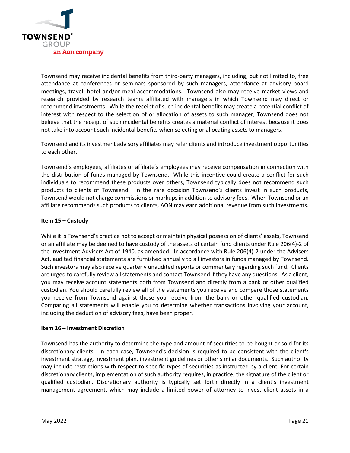

Townsend may receive incidental benefits from third-party managers, including, but not limited to, free attendance at conferences or seminars sponsored by such managers, attendance at advisory board meetings, travel, hotel and/or meal accommodations. Townsend also may receive market views and research provided by research teams affiliated with managers in which Townsend may direct or recommend investments. While the receipt of such incidental benefits may create a potential conflict of interest with respect to the selection of or allocation of assets to such manager, Townsend does not believe that the receipt of such incidental benefits creates a material conflict of interest because it does not take into account such incidental benefits when selecting or allocating assets to managers.

Townsend and its investment advisory affiliates may refer clients and introduce investment opportunities to each other.

Townsend's employees, affiliates or affiliate's employees may receive compensation in connection with the distribution of funds managed by Townsend. While this incentive could create a conflict for such individuals to recommend these products over others, Townsend typically does not recommend such products to clients of Townsend. In the rare occasion Townsend's clients invest in such products, Townsend would not charge commissions or markups in addition to advisory fees. When Townsend or an affiliate recommends such products to clients, AON may earn additional revenue from such investments.

## **Item 15 – Custody**

While it is Townsend's practice not to accept or maintain physical possession of clients' assets, Townsend or an affiliate may be deemed to have custody of the assets of certain fund clients under Rule 206(4)-2 of the Investment Advisers Act of 1940, as amended. In accordance with Rule 206(4)-2 under the Advisers Act, audited financial statements are furnished annually to all investors in funds managed by Townsend. Such investors may also receive quarterly unaudited reports or commentary regarding such fund. Clients are urged to carefully review all statements and contact Townsend if they have any questions. As a client, you may receive account statements both from Townsend and directly from a bank or other qualified custodian. You should carefully review all of the statements you receive and compare those statements you receive from Townsend against those you receive from the bank or other qualified custodian. Comparing all statements will enable you to determine whether transactions involving your account, including the deduction of advisory fees, have been proper.

#### **Item 16 – Investment Discretion**

Townsend has the authority to determine the type and amount of securities to be bought or sold for its discretionary clients. In each case, Townsend's decision is required to be consistent with the client's investment strategy, investment plan, investment guidelines or other similar documents. Such authority may include restrictions with respect to specific types of securities as instructed by a client. For certain discretionary clients, implementation of such authority requires, in practice, the signature of the client or qualified custodian. Discretionary authority is typically set forth directly in a client's investment management agreement, which may include a limited power of attorney to invest client assets in a